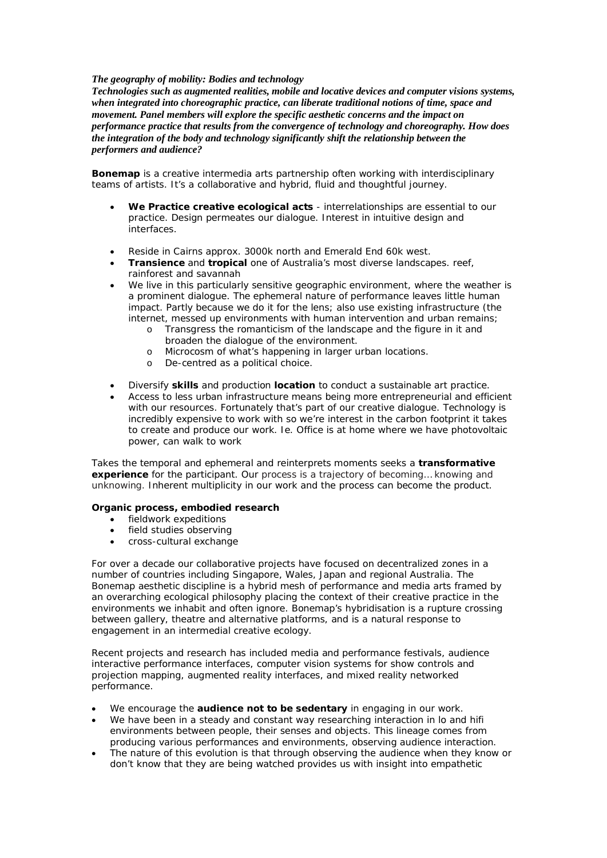## *The geography of mobility: Bodies and technology*

*Technologies such as augmented realities, mobile and locative devices and computer visions systems, when integrated into choreographic practice, can liberate traditional notions of time, space and movement. Panel members will explore the specific aesthetic concerns and the impact on performance practice that results from the convergence of technology and choreography. How does the integration of the body and technology significantly shift the relationship between the performers and audience?*

**Bonemap** is a creative intermedia arts partnership often working with interdisciplinary teams of artists. It's a collaborative and hybrid, fluid and thoughtful journey.

- **We Practice creative ecological acts**  interrelationships are essential to our practice. Design permeates our dialogue. Interest in intuitive design and interfaces.
- Reside in Cairns approx. 3000k north and Emerald End 60k west.
- **Transience** and **tropical** one of Australia's most diverse landscapes. reef, rainforest and savannah
- We live in this particularly sensitive geographic environment, where the weather is a prominent dialogue. The ephemeral nature of performance leaves little human impact. Partly because we do it for the lens; also use existing infrastructure (the internet, messed up environments with human intervention and urban remains;
	- o Transgress the romanticism of the landscape and the figure in it and broaden the dialogue of the environment.
	- o Microcosm of what's happening in larger urban locations.
	- o De-centred as a political choice.
- Diversify **skills** and production **location** to conduct a sustainable art practice.
- Access to less urban infrastructure means being more entrepreneurial and efficient with our resources. Fortunately that's part of our creative dialogue. Technology is incredibly expensive to work with so we're interest in the carbon footprint it takes to create and produce our work. Ie. Office is at home where we have photovoltaic power, can walk to work

Takes the temporal and ephemeral and reinterprets moments seeks a **transformative experience** for the participant. Our process is a trajectory of becoming… knowing and unknowing. Inherent multiplicity in our work and the process can become the product.

## **Organic process, embodied research**

- fieldwork expeditions
- field studies observing
- cross-cultural exchange

For over a decade our collaborative projects have focused on decentralized zones in a number of countries including Singapore, Wales, Japan and regional Australia. The Bonemap aesthetic discipline is a hybrid mesh of performance and media arts framed by an overarching ecological philosophy placing the context of their creative practice in the environments we inhabit and often ignore. Bonemap's hybridisation is a rupture crossing between gallery, theatre and alternative platforms, and is a natural response to engagement in an intermedial creative ecology.

Recent projects and research has included media and performance festivals, audience interactive performance interfaces, computer vision systems for show controls and projection mapping, augmented reality interfaces, and mixed reality networked performance.

- We encourage the **audience not to be sedentary** in engaging in our work.
- We have been in a steady and constant way researching interaction in lo and hifi environments between people, their senses and objects. This lineage comes from producing various performances and environments, observing audience interaction.
- The nature of this evolution is that through observing the audience when they know or don't know that they are being watched provides us with insight into empathetic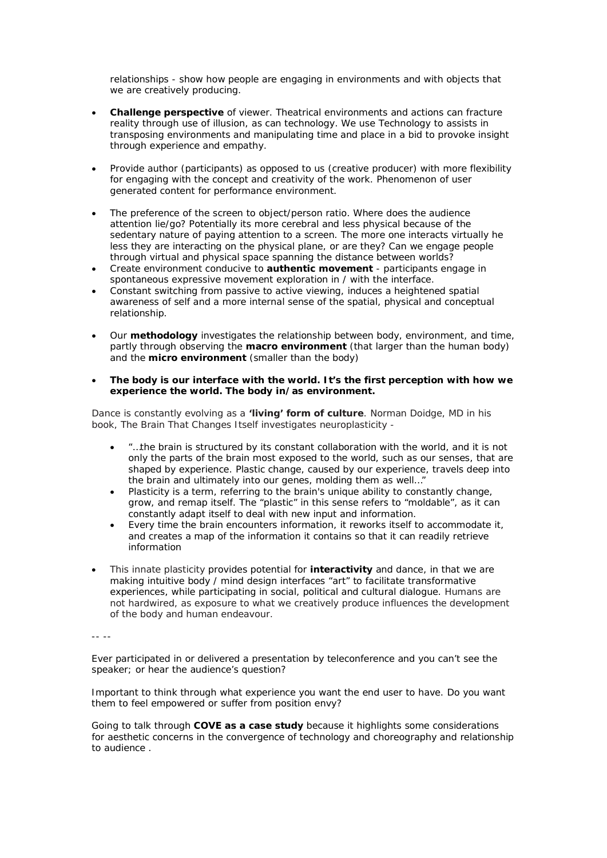relationships - show how people are engaging in environments and with objects that we are creatively producing.

- **Challenge perspective** of viewer. Theatrical environments and actions can fracture reality through use of illusion, as can technology. We use Technology to assists in transposing environments and manipulating time and place in a bid to provoke insight through experience and empathy.
- Provide author (participants) as opposed to us (creative producer) with more flexibility for engaging with the concept and creativity of the work. Phenomenon of user generated content for performance environment.
- The preference of the screen to object/person ratio. Where does the audience attention lie/go? Potentially its more cerebral and less physical because of the sedentary nature of paying attention to a screen. The more one interacts virtually he less they are interacting on the physical plane, or are they? Can we engage people through virtual and physical space spanning the distance between worlds?
- Create environment conducive to **authentic movement** participants engage in spontaneous expressive movement exploration in / with the interface.
- Constant switching from passive to active viewing, induces a heightened spatial awareness of self and a more internal sense of the spatial, physical and conceptual relationship.
- Our **methodology** investigates the relationship between body, environment, and time, partly through observing the **macro environment** (that larger than the human body) and the **micro environment** (smaller than the body)
- **The body is our interface with the world. It's the first perception with how we experience the world. The body in/as environment.**

Dance is constantly evolving as a **'living' form of culture**. Norman Doidge, MD in his book, *The Brain That Changes Itself* investigates neuroplasticity -

- "…the brain is structured by its constant collaboration with the world, and it is not only the parts of the brain most exposed to the world, such as our senses, that are shaped by experience. Plastic change, caused by our experience, travels deep into the brain and ultimately into our genes, molding them as well…"
- Plasticity is a term, referring to the brain's unique ability to constantly change, grow, and remap itself. The "plastic" in this sense refers to "moldable", as it can constantly adapt itself to deal with new input and information.
- Every time the brain encounters information, it reworks itself to accommodate it, and creates a map of the information it contains so that it can readily retrieve information
- This innate plasticity provides potential for **interactivity** and dance, in that we are making intuitive body / mind design interfaces "art" to facilitate transformative experiences, while participating in social, political and cultural dialogue. Humans are not hardwired, as exposure to what we creatively produce influences the development of the body and human endeavour.

-- --

Ever participated in or delivered a presentation by teleconference and you can't see the speaker; or hear the audience's question?

Important to think through what experience you want the end user to have. Do you want them to feel empowered or suffer from position envy?

Going to talk through **COVE as a case study** because it highlights some considerations for aesthetic concerns in the convergence of technology and choreography and relationship to audience .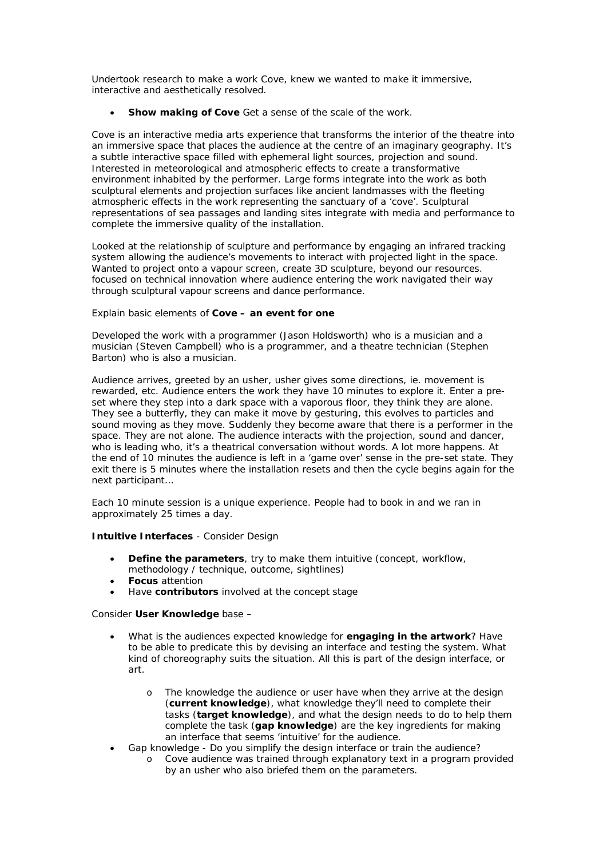Undertook research to make a work Cove, knew we wanted to make it immersive, interactive and aesthetically resolved.

**Show making of Cove** Get a sense of the scale of the work.

*Cove* is an interactive media arts experience that transforms the interior of the theatre into an immersive space that places the audience at the centre of an imaginary geography. *It'*s a subtle interactive space filled with ephemeral light sources, projection and sound. Interested in meteorological and atmospheric effects to create a transformative environment inhabited by the performer. Large forms integrate into the work as both sculptural elements and projection surfaces like ancient landmasses with the fleeting atmospheric effects in the work representing the sanctuary of a 'cove'. Sculptural representations of sea passages and landing sites integrate with media and performance to complete the immersive quality of the installation.

*Looked at the* relationship of sculpture and performance by engaging an infrared tracking system allowing the audience's movements to interact with projected light in the space. Wanted to project onto a vapour screen, create 3D sculpture, beyond our resources. focused on technical innovation where audience entering the work navigated their way through sculptural vapour screens and dance performance.

# Explain basic elements of **Cove – an event for one**

Developed the work with a programmer (Jason Holdsworth) who is a musician and a musician (Steven Campbell) who is a programmer, and a theatre technician (Stephen Barton) who is also a musician.

Audience arrives, greeted by an usher, usher gives some directions, ie. movement is rewarded, etc. Audience enters the work they have 10 minutes to explore it. Enter a preset where they step into a dark space with a vaporous floor, they think they are alone. They see a butterfly, they can make it move by gesturing, this evolves to particles and sound moving as they move. Suddenly they become aware that there is a performer in the space. They are not alone. The audience interacts with the projection, sound and dancer, who is leading who, it's a theatrical conversation without words. A lot more happens. At the end of 10 minutes the audience is left in a 'game over' sense in the pre-set state. They exit there is 5 minutes where the installation resets and then the cycle begins again for the next participant…

Each 10 minute session is a unique experience. People had to book in and we ran in approximately 25 times a day.

## **Intuitive Interfaces** - Consider Design

- **Define the parameters**, try to make them intuitive (concept, workflow, methodology / technique, outcome, sightlines)
- **Focus** attention
- Have **contributors** involved at the concept stage

#### Consider **User Knowledge** base –

- What is the audiences expected knowledge for **engaging in the artwork**? Have to be able to predicate this by devising an interface and testing the system. What kind of choreography suits the situation. All this is part of the design interface, or art.
	- o The knowledge the audience or user have when they arrive at the design (**current knowledge**), what knowledge they'll need to complete their tasks (**target knowledge**), and what the design needs to do to help them complete the task (**gap knowledge**) are the key ingredients for making an interface that seems 'intuitive' for the audience.
	- Gap knowledge Do you simplify the design interface or train the audience?
		- o Cove audience was trained through explanatory text in a program provided by an usher who also briefed them on the parameters.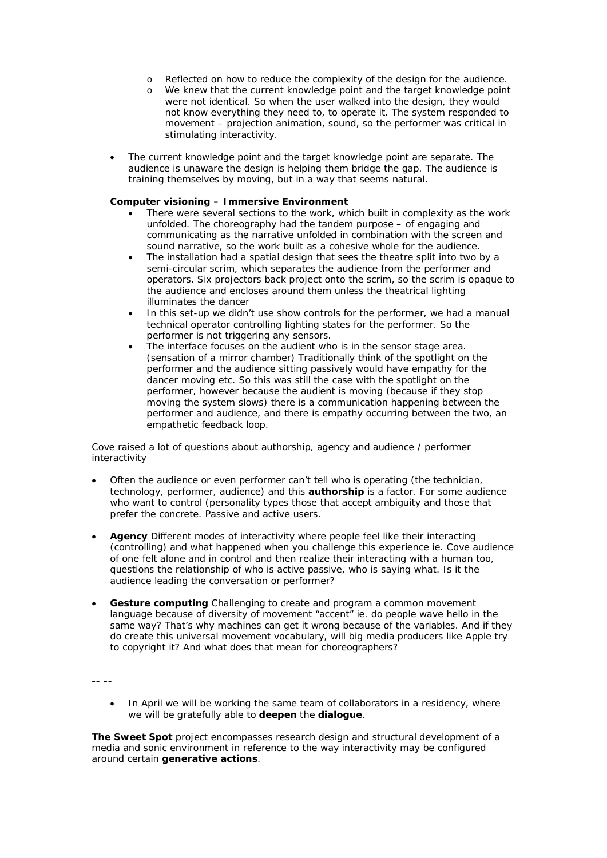- o Reflected on how to reduce the complexity of the design for the audience.
- o We knew that the current knowledge point and the target knowledge point were not identical. So when the user walked into the design, they would not know everything they need to, to operate it. The system responded to movement – projection animation, sound, so the performer was critical in stimulating interactivity.
- The current knowledge point and the target knowledge point are separate. The audience is unaware the design is helping them bridge the gap. The audience is training themselves by moving, but in a way that seems natural.

#### **Computer visioning – Immersive Environment**

- There were several sections to the work, which built in complexity as the work unfolded. The choreography had the tandem purpose – of engaging and communicating as the narrative unfolded in combination with the screen and sound narrative, so the work built as a cohesive whole for the audience.
- The installation had a spatial design that sees the theatre split into two by a semi-circular scrim, which separates the audience from the performer and operators. Six projectors back project onto the scrim, so the scrim is opaque to the audience and encloses around them unless the theatrical lighting illuminates the dancer
- In this set-up we didn't use show controls for the performer, we had a manual technical operator controlling lighting states for the performer. So the performer is not triggering any sensors.
- The interface focuses on the audient who is in the sensor stage area. (sensation of a mirror chamber) Traditionally think of the spotlight on the performer and the audience sitting passively would have empathy for the dancer moving etc. So this was still the case with the spotlight on the performer, however because the audient is moving (because if they stop moving the system slows) there is a communication happening between the performer and audience, and there is empathy occurring between the two, an empathetic feedback loop.

Cove raised a lot of questions about authorship, agency and audience / performer interactivity

- Often the audience or even performer can't tell who is operating (the technician, technology, performer, audience) and this **authorship** is a factor. For some audience who want to control (personality types those that accept ambiguity and those that prefer the concrete. Passive and active users.
- **Agency** Different modes of interactivity where people feel like their interacting (controlling) and what happened when you challenge this experience ie. Cove audience of one felt alone and in control and then realize their interacting with a human too, questions the relationship of who is active passive, who is saying what. Is it the audience leading the conversation or performer?
- **Gesture computing** Challenging to create and program a common movement language because of diversity of movement "accent" ie. do people wave hello in the same way? That's why machines can get it wrong because of the variables. And if they do create this universal movement vocabulary, will big media producers like Apple try to copyright it? And what does that mean for choreographers?

**-- --**

In April we will be working the same team of collaborators in a residency, where we will be gratefully able to **deepen** the **dialogue**.

**The Sweet Spot** project encompasses research design and structural development of a media and sonic environment in reference to the way interactivity may be configured around certain **generative actions**.